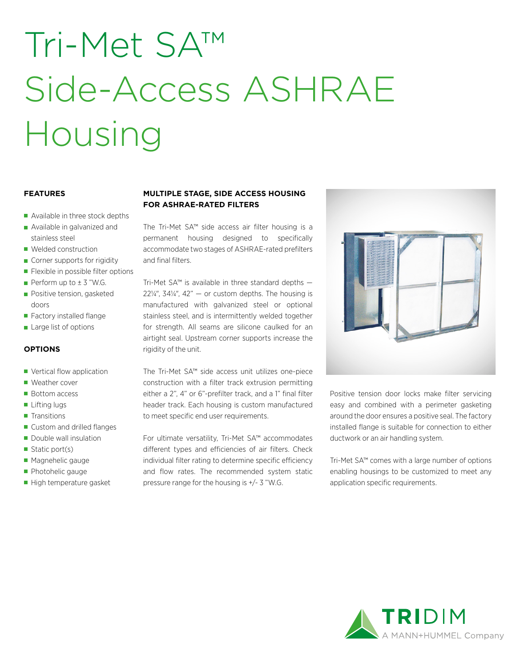# Tri-Met SA™ Side-Access ASHRAE Housing

### **FEATURES**

- Available in three stock depths
- **Available in galvanized and** stainless steel
- Welded construction
- Corner supports for rigidity
- **Flexible in possible filter options**
- Perform up to  $\pm$  3 "W.G.
- **Positive tension, gasketed** doors
- Factory installed flange
- **Large list of options**

### **OPTIONS**

- **Vertical flow application**
- Weather cover
- Bottom access
- Lifting lugs
- **Transitions**
- Custom and drilled flanges
- Double wall insulation
- Static port(s)
- **Magnehelic gauge**
- **Photohelic gauge**
- High temperature gasket

## **MULTIPLE STAGE, SIDE ACCESS HOUSING FOR ASHRAE-RATED FILTERS**

The Tri-Met SA™ side access air filter housing is a permanent housing designed to specifically accommodate two stages of ASHRAE-rated prefilters and final filters.

Tri-Met SA™ is available in three standard depths  $22\frac{1}{4}$ ,  $34\frac{1}{4}$ ,  $42^{\circ}$  - or custom depths. The housing is manufactured with galvanized steel or optional stainless steel, and is intermittently welded together for strength. All seams are silicone caulked for an airtight seal. Upstream corner supports increase the rigidity of the unit.

The Tri-Met SA™ side access unit utilizes one-piece construction with a filter track extrusion permitting either a 2", 4" or 6"-prefilter track, and a 1" final filter header track. Each housing is custom manufactured to meet specific end user requirements.

For ultimate versatility, Tri-Met SA™ accommodates different types and efficiencies of air filters. Check individual filter rating to determine specific efficiency and flow rates. The recommended system static pressure range for the housing is +/- 3 "W.G.



Positive tension door locks make filter servicing easy and combined with a perimeter gasketing around the door ensures a positive seal. The factory installed flange is suitable for connection to either ductwork or an air handling system.

Tri-Met SA™ comes with a large number of options enabling housings to be customized to meet any application specific requirements.